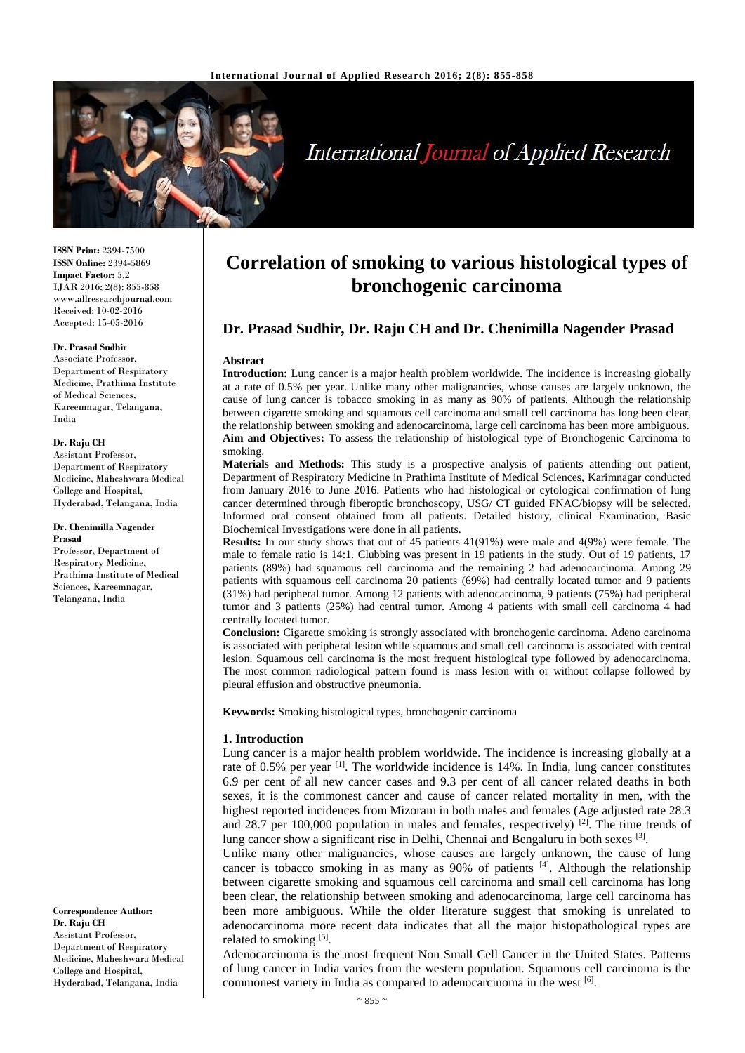

# **International Journal of Applied Research**

**ISSN Print:** 2394-7500 **ISSN Online:** 2394-5869 **Impact Factor:** 5.2 IJAR 2016; 2(8): 855-858 www.allresearchjournal.com Received: 10-02-2016 Accepted: 15-05-2016

### **Dr. Prasad Sudhir**

Associate Professor, Department of Respiratory Medicine, Prathima Institute of Medical Sciences, Kareemnagar, Telangana, India

#### **Dr. Raju CH**

Assistant Professor, Department of Respiratory Medicine, Maheshwara Medical College and Hospital, Hyderabad, Telangana, India

#### **Dr. Chenimilla Nagender Prasad** Professor, Department of

Respiratory Medicine, Prathima Institute of Medical Sciences, Kareemnagar, Telangana, India

**Correspondence Author: Dr. Raju CH** Assistant Professor, Department of Respiratory Medicine, Maheshwara Medical College and Hospital, Hyderabad, Telangana, India

# **Correlation of smoking to various histological types of bronchogenic carcinoma**

# **Dr. Prasad Sudhir, Dr. Raju CH and Dr. Chenimilla Nagender Prasad**

#### **Abstract**

**Introduction:** Lung cancer is a major health problem worldwide. The incidence is increasing globally at a rate of 0.5% per year. Unlike many other malignancies, whose causes are largely unknown, the cause of lung cancer is tobacco smoking in as many as 90% of patients. Although the relationship between cigarette smoking and squamous cell carcinoma and small cell carcinoma has long been clear, the relationship between smoking and adenocarcinoma, large cell carcinoma has been more ambiguous. **Aim and Objectives:** To assess the relationship of histological type of Bronchogenic Carcinoma to smoking.

**Materials and Methods:** This study is a prospective analysis of patients attending out patient, Department of Respiratory Medicine in Prathima Institute of Medical Sciences, Karimnagar conducted from January 2016 to June 2016. Patients who had histological or cytological confirmation of lung cancer determined through fiberoptic bronchoscopy, USG/ CT guided FNAC/biopsy will be selected. Informed oral consent obtained from all patients. Detailed history, clinical Examination, Basic Biochemical Investigations were done in all patients.

**Results:** In our study shows that out of 45 patients 41(91%) were male and 4(9%) were female. The male to female ratio is 14:1. Clubbing was present in 19 patients in the study. Out of 19 patients, 17 patients (89%) had squamous cell carcinoma and the remaining 2 had adenocarcinoma. Among 29 patients with squamous cell carcinoma 20 patients (69%) had centrally located tumor and 9 patients (31%) had peripheral tumor. Among 12 patients with adenocarcinoma, 9 patients (75%) had peripheral tumor and 3 patients (25%) had central tumor. Among 4 patients with small cell carcinoma 4 had centrally located tumor.

**Conclusion:** Cigarette smoking is strongly associated with bronchogenic carcinoma. Adeno carcinoma is associated with peripheral lesion while squamous and small cell carcinoma is associated with central lesion. Squamous cell carcinoma is the most frequent histological type followed by adenocarcinoma. The most common radiological pattern found is mass lesion with or without collapse followed by pleural effusion and obstructive pneumonia.

**Keywords:** Smoking histological types, bronchogenic carcinoma

#### **1. Introduction**

Lung cancer is a major health problem worldwide. The incidence is increasing globally at a rate of 0.5% per year <sup>[1]</sup>. The worldwide incidence is 14%. In India, lung cancer constitutes 6.9 per cent of all new cancer cases and 9.3 per cent of all cancer related deaths in both sexes, it is the commonest cancer and cause of cancer related mortality in men, with the highest reported incidences from Mizoram in both males and females (Age adjusted rate 28.3 and 28.7 per 100,000 population in males and females, respectively)  $^{[2]}$ . The time trends of lung cancer show a significant rise in Delhi, Chennai and Bengaluru in both sexes [3].

Unlike many other malignancies, whose causes are largely unknown, the cause of lung cancer is tobacco smoking in as many as  $90\%$  of patients  $^{[4]}$ . Although the relationship between cigarette smoking and squamous cell carcinoma and small cell carcinoma has long been clear, the relationship between smoking and adenocarcinoma, large cell carcinoma has been more ambiguous. While the older literature suggest that smoking is unrelated to adenocarcinoma more recent data indicates that all the major histopathological types are related to smoking [5].

Adenocarcinoma is the most frequent Non Small Cell Cancer in the United States. Patterns of lung cancer in India varies from the western population. Squamous cell carcinoma is the commonest variety in India as compared to adenocarcinoma in the west [6].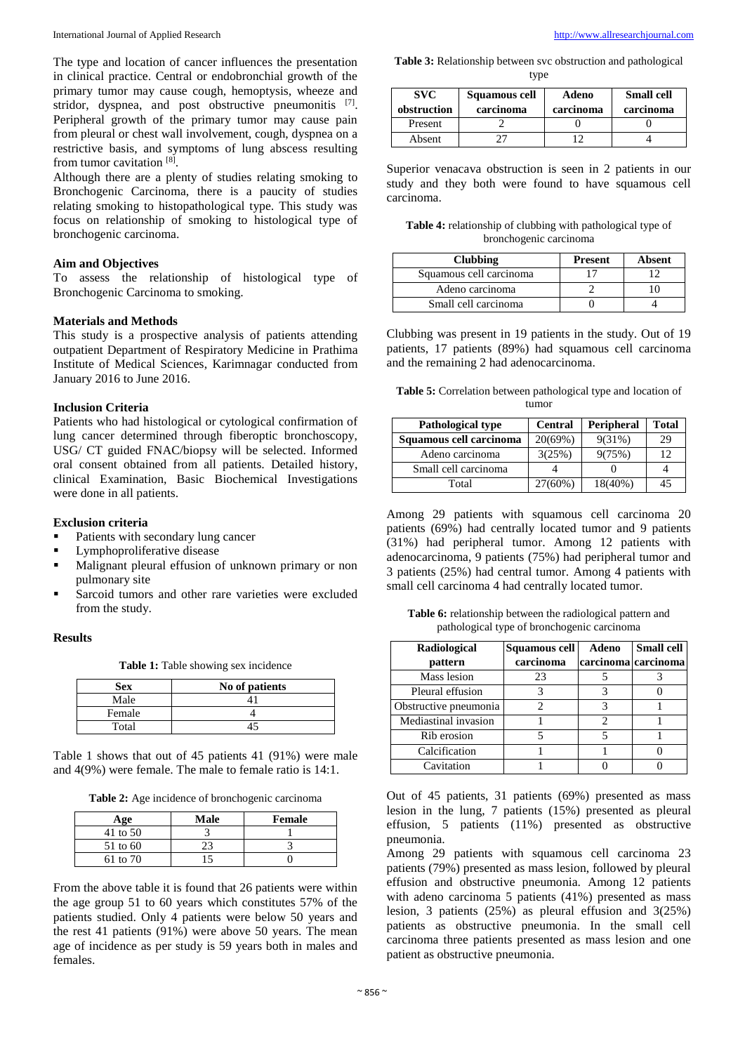The type and location of cancer influences the presentation in clinical practice. Central or endobronchial growth of the primary tumor may cause cough, hemoptysis, wheeze and stridor, dyspnea, and post obstructive pneumonitis [7]. Peripheral growth of the primary tumor may cause pain from pleural or chest wall involvement, cough, dyspnea on a restrictive basis, and symptoms of lung abscess resulting from tumor cavitation [8].

Although there are a plenty of studies relating smoking to Bronchogenic Carcinoma, there is a paucity of studies relating smoking to histopathological type. This study was focus on relationship of smoking to histological type of bronchogenic carcinoma.

#### **Aim and Objectives**

To assess the relationship of histological type of Bronchogenic Carcinoma to smoking.

#### **Materials and Methods**

This study is a prospective analysis of patients attending outpatient Department of Respiratory Medicine in Prathima Institute of Medical Sciences, Karimnagar conducted from January 2016 to June 2016.

#### **Inclusion Criteria**

Patients who had histological or cytological confirmation of lung cancer determined through fiberoptic bronchoscopy, USG/ CT guided FNAC/biopsy will be selected. Informed oral consent obtained from all patients. Detailed history, clinical Examination, Basic Biochemical Investigations were done in all patients.

#### **Exclusion criteria**

- Patients with secondary lung cancer
- **Lymphoproliferative disease**
- Malignant pleural effusion of unknown primary or non pulmonary site
- Sarcoid tumors and other rare varieties were excluded from the study.

#### **Results**

**Table 1:** Table showing sex incidence

| <b>Sex</b> | No of patients |
|------------|----------------|
| Male       |                |
| Female     |                |
| Total      |                |

Table 1 shows that out of 45 patients 41 (91%) were male and 4(9%) were female. The male to female ratio is 14:1.

**Table 2:** Age incidence of bronchogenic carcinoma

| Age      | Male | Female |
|----------|------|--------|
| 41 to 50 |      |        |
| 51 to 60 |      |        |
| 61 to 70 |      |        |

From the above table it is found that 26 patients were within the age group 51 to 60 years which constitutes 57% of the patients studied. Only 4 patients were below 50 years and the rest 41 patients (91%) were above 50 years. The mean age of incidence as per study is 59 years both in males and females.

**Table 3:** Relationship between svc obstruction and pathological type

| <b>SVC</b><br>obstruction | Squamous cell<br>carcinoma | Adeno<br>carcinoma | <b>Small cell</b><br>carcinoma |
|---------------------------|----------------------------|--------------------|--------------------------------|
| Present                   |                            |                    |                                |
| Absent                    |                            |                    |                                |

Superior venacava obstruction is seen in 2 patients in our study and they both were found to have squamous cell carcinoma.

**Table 4:** relationship of clubbing with pathological type of bronchogenic carcinoma

| <b>Clubbing</b>         | <b>Present</b> | Absent |
|-------------------------|----------------|--------|
| Squamous cell carcinoma |                |        |
| Adeno carcinoma         |                |        |
| Small cell carcinoma    |                |        |

Clubbing was present in 19 patients in the study. Out of 19 patients, 17 patients (89%) had squamous cell carcinoma and the remaining 2 had adenocarcinoma.

**Table 5:** Correlation between pathological type and location of tumor

| <b>Pathological type</b> | <b>Central</b> | <b>Peripheral</b> | <b>Total</b> |
|--------------------------|----------------|-------------------|--------------|
| Squamous cell carcinoma  | 20(69%)        | 9(31%)            | 29           |
| Adeno carcinoma          | 3(25%)         | 9(75%)            | 12           |
| Small cell carcinoma     |                |                   |              |
| Total                    | 27(60%)        | $18(40\%)$        | 45           |

Among 29 patients with squamous cell carcinoma 20 patients (69%) had centrally located tumor and 9 patients (31%) had peripheral tumor. Among 12 patients with adenocarcinoma, 9 patients (75%) had peripheral tumor and 3 patients (25%) had central tumor. Among 4 patients with small cell carcinoma 4 had centrally located tumor.

**Table 6:** relationship between the radiological pattern and pathological type of bronchogenic carcinoma

| <b>Radiological</b>   | Squamous cell | Adeno               | <b>Small cell</b> |
|-----------------------|---------------|---------------------|-------------------|
| pattern               | carcinoma     | carcinoma carcinoma |                   |
| Mass lesion           | 23            |                     |                   |
| Pleural effusion      |               |                     |                   |
| Obstructive pneumonia |               |                     |                   |
| Mediastinal invasion  |               | 2                   |                   |
| Rib erosion           |               |                     |                   |
| Calcification         |               |                     |                   |
| Cavitation            |               |                     |                   |

Out of 45 patients, 31 patients (69%) presented as mass lesion in the lung, 7 patients (15%) presented as pleural effusion, 5 patients (11%) presented as obstructive pneumonia.

Among 29 patients with squamous cell carcinoma 23 patients (79%) presented as mass lesion, followed by pleural effusion and obstructive pneumonia. Among 12 patients with adeno carcinoma 5 patients (41%) presented as mass lesion, 3 patients (25%) as pleural effusion and 3(25%) patients as obstructive pneumonia. In the small cell carcinoma three patients presented as mass lesion and one patient as obstructive pneumonia.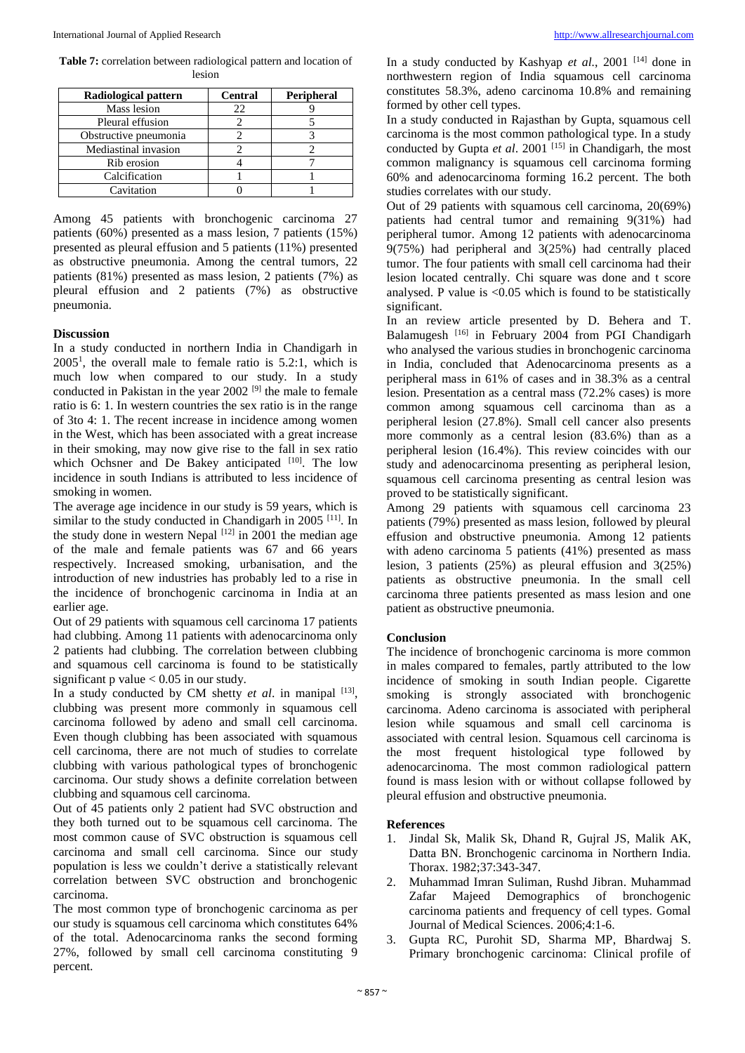**Table 7:** correlation between radiological pattern and location of lesion

| Radiological pattern  | <b>Central</b> | Peripheral |
|-----------------------|----------------|------------|
| Mass lesion           | 22             |            |
| Pleural effusion      |                |            |
| Obstructive pneumonia |                |            |
| Mediastinal invasion  |                |            |
| Rib erosion           |                |            |
| Calcification         |                |            |
| Cavitation            |                |            |

Among 45 patients with bronchogenic carcinoma 27 patients (60%) presented as a mass lesion, 7 patients (15%) presented as pleural effusion and 5 patients (11%) presented as obstructive pneumonia. Among the central tumors, 22 patients (81%) presented as mass lesion, 2 patients (7%) as pleural effusion and 2 patients (7%) as obstructive pneumonia.

## **Discussion**

In a study conducted in northern India in Chandigarh in  $2005<sup>1</sup>$ , the overall male to female ratio is 5.2:1, which is much low when compared to our study. In a study conducted in Pakistan in the year  $2002$ <sup>[9]</sup> the male to female ratio is 6: 1. In western countries the sex ratio is in the range of 3to 4: 1. The recent increase in incidence among women in the West, which has been associated with a great increase in their smoking, may now give rise to the fall in sex ratio which Ochsner and De Bakey anticipated  $[10]$ . The low incidence in south Indians is attributed to less incidence of smoking in women.

The average age incidence in our study is 59 years, which is similar to the study conducted in Chandigarh in  $2005$ <sup>[11]</sup>. In the study done in western Nepal  $[12]$  in 2001 the median age of the male and female patients was 67 and 66 years respectively. Increased smoking, urbanisation, and the introduction of new industries has probably led to a rise in the incidence of bronchogenic carcinoma in India at an earlier age.

Out of 29 patients with squamous cell carcinoma 17 patients had clubbing. Among 11 patients with adenocarcinoma only 2 patients had clubbing. The correlation between clubbing and squamous cell carcinoma is found to be statistically significant p value  $< 0.05$  in our study.

In a study conducted by CM shetty *et al.* in manipal [13], clubbing was present more commonly in squamous cell carcinoma followed by adeno and small cell carcinoma. Even though clubbing has been associated with squamous cell carcinoma, there are not much of studies to correlate clubbing with various pathological types of bronchogenic carcinoma. Our study shows a definite correlation between clubbing and squamous cell carcinoma.

Out of 45 patients only 2 patient had SVC obstruction and they both turned out to be squamous cell carcinoma. The most common cause of SVC obstruction is squamous cell carcinoma and small cell carcinoma. Since our study population is less we couldn't derive a statistically relevant correlation between SVC obstruction and bronchogenic carcinoma.

The most common type of bronchogenic carcinoma as per our study is squamous cell carcinoma which constitutes 64% of the total. Adenocarcinoma ranks the second forming 27%, followed by small cell carcinoma constituting 9 percent.

In a study conducted by Kashyap *et al.*, 2001<sup>[14]</sup> done in northwestern region of India squamous cell carcinoma constitutes 58.3%, adeno carcinoma 10.8% and remaining formed by other cell types.

In a study conducted in Rajasthan by Gupta, squamous cell carcinoma is the most common pathological type. In a study conducted by Gupta *et al.* 2001<sup>[15]</sup> in Chandigarh, the most common malignancy is squamous cell carcinoma forming 60% and adenocarcinoma forming 16.2 percent. The both studies correlates with our study.

Out of 29 patients with squamous cell carcinoma, 20(69%) patients had central tumor and remaining 9(31%) had peripheral tumor. Among 12 patients with adenocarcinoma 9(75%) had peripheral and 3(25%) had centrally placed tumor. The four patients with small cell carcinoma had their lesion located centrally. Chi square was done and t score analysed. P value is  $< 0.05$  which is found to be statistically significant.

In an review article presented by D. Behera and T. Balamugesh<sup>[16]</sup> in February 2004 from PGI Chandigarh who analysed the various studies in bronchogenic carcinoma in India, concluded that Adenocarcinoma presents as a peripheral mass in 61% of cases and in 38.3% as a central lesion. Presentation as a central mass (72.2% cases) is more common among squamous cell carcinoma than as a peripheral lesion (27.8%). Small cell cancer also presents more commonly as a central lesion (83.6%) than as a peripheral lesion (16.4%). This review coincides with our study and adenocarcinoma presenting as peripheral lesion, squamous cell carcinoma presenting as central lesion was proved to be statistically significant.

Among 29 patients with squamous cell carcinoma 23 patients (79%) presented as mass lesion, followed by pleural effusion and obstructive pneumonia. Among 12 patients with adeno carcinoma 5 patients (41%) presented as mass lesion, 3 patients (25%) as pleural effusion and 3(25%) patients as obstructive pneumonia. In the small cell carcinoma three patients presented as mass lesion and one patient as obstructive pneumonia.

#### **Conclusion**

The incidence of bronchogenic carcinoma is more common in males compared to females, partly attributed to the low incidence of smoking in south Indian people. Cigarette smoking is strongly associated with bronchogenic carcinoma. Adeno carcinoma is associated with peripheral lesion while squamous and small cell carcinoma is associated with central lesion. Squamous cell carcinoma is the most frequent histological type followed by adenocarcinoma. The most common radiological pattern found is mass lesion with or without collapse followed by pleural effusion and obstructive pneumonia.

#### **References**

- 1. Jindal Sk, Malik Sk, Dhand R, Gujral JS, Malik AK, Datta BN. Bronchogenic carcinoma in Northern India. Thorax. 1982;37:343-347.
- 2. Muhammad Imran Suliman, Rushd Jibran. Muhammad Zafar Majeed Demographics of bronchogenic carcinoma patients and frequency of cell types. Gomal Journal of Medical Sciences. 2006;4:1-6.
- 3. Gupta RC, Purohit SD, Sharma MP, Bhardwaj S. Primary bronchogenic carcinoma: Clinical profile of